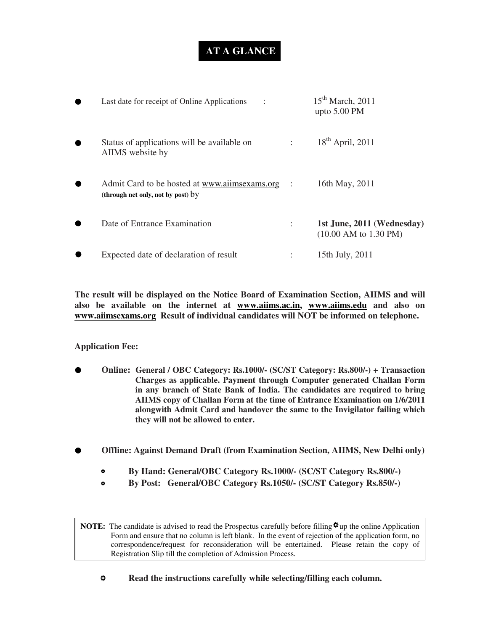## **AT A GLANCE**

| Last date for receipt of Online Applications                                        | $15th$ March, 2011<br>upto $5.00$ PM                                   |
|-------------------------------------------------------------------------------------|------------------------------------------------------------------------|
| Status of applications will be available on<br>AIIMS website by                     | $18th$ April, 2011                                                     |
| Admit Card to be hosted at www.aiimsexams.org<br>(through net only, not by post) by | 16th May, 2011                                                         |
| Date of Entrance Examination                                                        | 1st June, 2011 (Wednesday)<br>$(10.00 \text{ AM to } 1.30 \text{ PM})$ |
| Expected date of declaration of result                                              | 15th July, 2011                                                        |

**The result will be displayed on the Notice Board of Examination Section, AIIMS and will also be available on the internet at www.aiims.ac.in, www.aiims.edu and also on www.aiimsexams.org Result of individual candidates will NOT be informed on telephone.**

**Application Fee:** 

- **Online: General / OBC Category: Rs.1000/- (SC/ST Category: Rs.800/-) + Transaction Charges as applicable. Payment through Computer generated Challan Form in any branch of State Bank of India. The candidates are required to bring AIIMS copy of Challan Form at the time of Entrance Examination on 1/6/2011 alongwith Admit Card and handover the same to the Invigilator failing which they will not be allowed to enter.**
- **Offline: Against Demand Draft (from Examination Section, AIIMS, New Delhi only)** 
	- **By Hand: General/OBC Category Rs.1000/- (SC/ST Category Rs.800/-)**
	- **By Post: General/OBC Category Rs.1050/- (SC/ST Category Rs.850/-)**

**NOTE:** The candidate is advised to read the Prospectus carefully before filling  $\mathbf{\ddot{x}}$  up the online Application Form and ensure that no column is left blank. In the event of rejection of the application form, no correspondence/request for reconsideration will be entertained. Please retain the copy of Registration Slip till the completion of Admission Process.

#### $\pmb{\alpha}$ **Read the instructions carefully while selecting/filling each column.**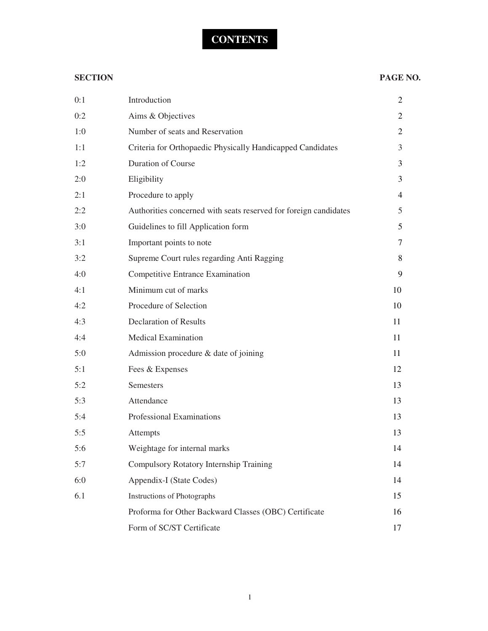# **CONTENTS**

#### **SECTION PAGE NO.**

| 0:1 | Introduction                                                     | 2              |
|-----|------------------------------------------------------------------|----------------|
| 0:2 | Aims & Objectives                                                | $\overline{2}$ |
| 1:0 | Number of seats and Reservation                                  | $\overline{2}$ |
| 1:1 | Criteria for Orthopaedic Physically Handicapped Candidates       | $\mathfrak{Z}$ |
| 1:2 | Duration of Course                                               | 3              |
| 2:0 | Eligibility                                                      | 3              |
| 2:1 | Procedure to apply                                               | $\overline{4}$ |
| 2:2 | Authorities concerned with seats reserved for foreign candidates | 5              |
| 3:0 | Guidelines to fill Application form                              | 5              |
| 3:1 | Important points to note                                         | 7              |
| 3:2 | Supreme Court rules regarding Anti Ragging                       | 8              |
| 4:0 | <b>Competitive Entrance Examination</b>                          | 9              |
| 4:1 | Minimum cut of marks                                             | 10             |
| 4:2 | Procedure of Selection                                           | 10             |
| 4:3 | <b>Declaration of Results</b>                                    | 11             |
| 4:4 | <b>Medical Examination</b>                                       | 11             |
| 5:0 | Admission procedure & date of joining                            | 11             |
| 5:1 | Fees & Expenses                                                  | 12             |
| 5:2 | Semesters                                                        | 13             |
| 5:3 | Attendance                                                       | 13             |
| 5:4 | Professional Examinations                                        | 13             |
| 5:5 | Attempts                                                         | 13             |
| 5:6 | Weightage for internal marks                                     | 14             |
| 5:7 | Compulsory Rotatory Internship Training                          | 14             |
| 6:0 | Appendix-I (State Codes)                                         | 14             |
| 6.1 | <b>Instructions of Photographs</b>                               | 15             |
|     | Proforma for Other Backward Classes (OBC) Certificate            | 16             |
|     | Form of SC/ST Certificate                                        | 17             |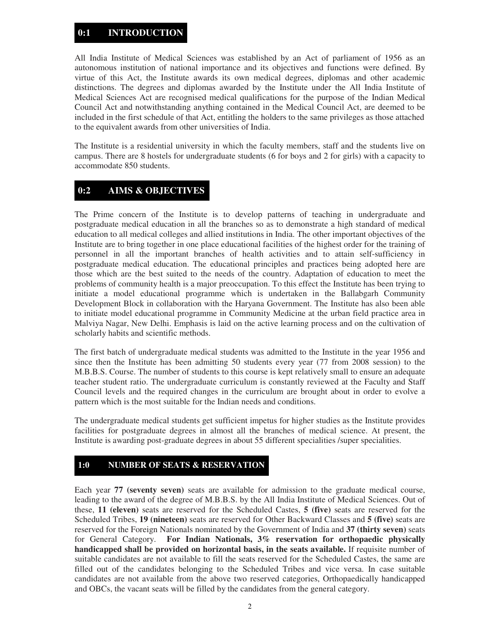### **0:1 INTRODUCTION**

All India Institute of Medical Sciences was established by an Act of parliament of 1956 as an autonomous institution of national importance and its objectives and functions were defined. By virtue of this Act, the Institute awards its own medical degrees, diplomas and other academic distinctions. The degrees and diplomas awarded by the Institute under the All India Institute of Medical Sciences Act are recognised medical qualifications for the purpose of the Indian Medical Council Act and notwithstanding anything contained in the Medical Council Act, are deemed to be included in the first schedule of that Act, entitling the holders to the same privileges as those attached to the equivalent awards from other universities of India.

The Institute is a residential university in which the faculty members, staff and the students live on campus. There are 8 hostels for undergraduate students (6 for boys and 2 for girls) with a capacity to accommodate 850 students.

#### **0:2 AIMS & OBJECTIVES**

The Prime concern of the Institute is to develop patterns of teaching in undergraduate and postgraduate medical education in all the branches so as to demonstrate a high standard of medical education to all medical colleges and allied institutions in India. The other important objectives of the Institute are to bring together in one place educational facilities of the highest order for the training of personnel in all the important branches of health activities and to attain self-sufficiency in postgraduate medical education. The educational principles and practices being adopted here are those which are the best suited to the needs of the country. Adaptation of education to meet the problems of community health is a major preoccupation. To this effect the Institute has been trying to initiate a model educational programme which is undertaken in the Ballabgarh Community Development Block in collaboration with the Haryana Government. The Institute has also been able to initiate model educational programme in Community Medicine at the urban field practice area in Malviya Nagar, New Delhi. Emphasis is laid on the active learning process and on the cultivation of scholarly habits and scientific methods.

The first batch of undergraduate medical students was admitted to the Institute in the year 1956 and since then the Institute has been admitting 50 students every year (77 from 2008 session) to the M.B.B.S. Course. The number of students to this course is kept relatively small to ensure an adequate teacher student ratio. The undergraduate curriculum is constantly reviewed at the Faculty and Staff Council levels and the required changes in the curriculum are brought about in order to evolve a pattern which is the most suitable for the Indian needs and conditions.

The undergraduate medical students get sufficient impetus for higher studies as the Institute provides facilities for postgraduate degrees in almost all the branches of medical science. At present, the Institute is awarding post-graduate degrees in about 55 different specialities /super specialities.

#### **1:0 NUMBER OF SEATS & RESERVATION**

Each year **77 (seventy seven)** seats are available for admission to the graduate medical course, leading to the award of the degree of M.B.B.S. by the All India Institute of Medical Sciences. Out of these, **11 (eleven)** seats are reserved for the Scheduled Castes, **5 (five)** seats are reserved for the Scheduled Tribes, **19 (nineteen)** seats are reserved for Other Backward Classes and **5 (five)** seats are reserved for the Foreign Nationals nominated by the Government of India and **37 (thirty seven)** seats for General Category. **For Indian Nationals, 3% reservation for orthopaedic physically handicapped shall be provided on horizontal basis, in the seats available.** If requisite number of suitable candidates are not available to fill the seats reserved for the Scheduled Castes, the same are filled out of the candidates belonging to the Scheduled Tribes and vice versa. In case suitable candidates are not available from the above two reserved categories, Orthopaedically handicapped and OBCs, the vacant seats will be filled by the candidates from the general category.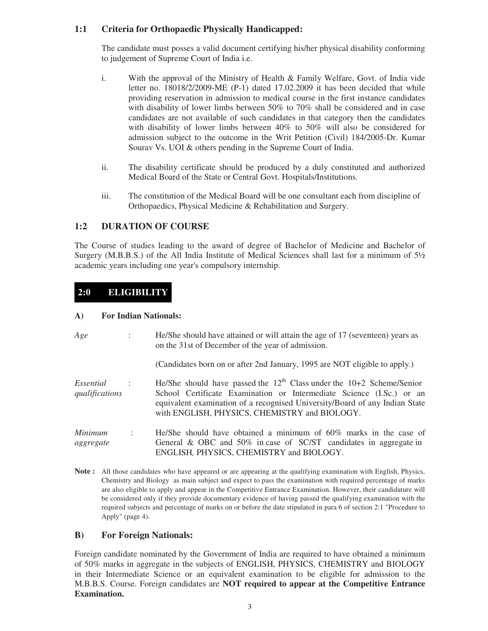#### **1:1 Criteria for Orthopaedic Physically Handicapped:**

The candidate must posses a valid document certifying his/her physical disability conforming to judgement of Supreme Court of India i.e.

- i. With the approval of the Ministry of Health & Family Welfare, Govt. of India vide letter no. 18018/2/2009-ME (P-1) dated 17.02.2009 it has been decided that while providing reservation in admission to medical course in the first instance candidates with disability of lower limbs between 50% to 70% shall be considered and in case candidates are not available of such candidates in that category then the candidates with disability of lower limbs between 40% to 50% will also be considered for admission subject to the outcome in the Writ Petition (Civil) 184/2005-Dr. Kumar Sourav Vs. UOI & others pending in the Supreme Court of India.
- ii. The disability certificate should be produced by a duly constituted and authorized Medical Board of the State or Central Govt. Hospitals/Institutions.
- iii. The constitution of the Medical Board will be one consultant each from discipline of Orthopaedics, Physical Medicine & Rehabilitation and Surgery.

#### **1:2 DURATION OF COURSE**

The Course of studies leading to the award of degree of Bachelor of Medicine and Bachelor of Surgery (M.B.B.S.) of the All India Institute of Medical Sciences shall last for a minimum of 5½ academic years including one year's compulsory internship.

#### **2:0 ELIGIBILITY**

#### **A) For Indian Nationals:**

- *Age* : He/She should have attained or will attain the age of 17 (seventeen) years as on the 31st of December of the year of admission. (Candidates born on or after 2nd January, 1995 are NOT eligible to apply.) *Essential* : He/She should have passed the 12<sup>th</sup> Class under the 10+2 Scheme/Senior *qualifications* School Certificate Examination or Intermediate Science (I.Sc.) or an equivalent examination of a recognised University/Board of any Indian State with ENGLISH, PHYSICS, CHEMISTRY and BIOLOGY. *Minimum* : He/She should have obtained a minimum of 60% marks in the case of *aggregate* General & OBC and 50% in case of SC/ST candidates in aggregate in ENGLISH*,* PHYSICS, CHEMISTRY and BIOLOGY.
- **Note :** All those candidates who have appeared or are appearing at the qualifying examination with English, Physics, Chemistry and Biology as main subject and expect to pass the examination with required percentage of marks are also eligible to apply and appear in the Competitive Entrance Examination. However, their candidature will be considered only if they provide documentary evidence of having passed the qualifying examination with the required subjects and percentage of marks on or before the date stipulated in para 6 of section 2:1 "Procedure to Apply" (page 4).

#### **B) For Foreign Nationals:**

Foreign candidate nominated by the Government of India are required to have obtained a minimum of 50% marks in aggregate in the subjects of ENGLISH, PHYSICS, CHEMISTRY and BIOLOGY in their Intermediate Science or an equivalent examination to be eligible for admission to the M.B.B.S. Course. Foreign candidates are **NOT required to appear at the Competitive Entrance Examination.**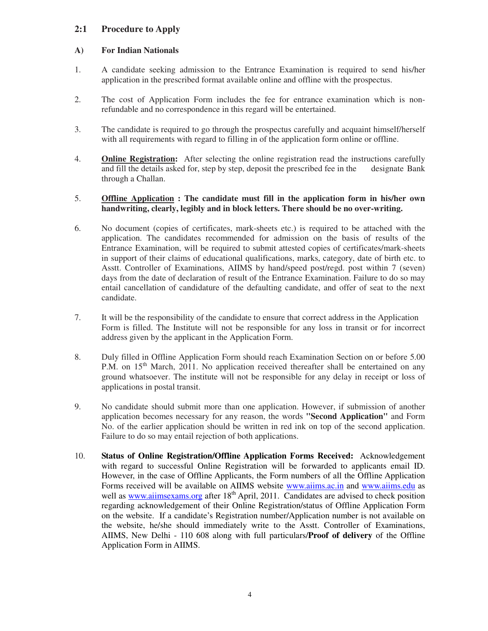#### **2:1 Procedure to Apply**

#### **A) For Indian Nationals**

- 1. A candidate seeking admission to the Entrance Examination is required to send his/her application in the prescribed format available online and offline with the prospectus.
- 2. The cost of Application Form includes the fee for entrance examination which is nonrefundable and no correspondence in this regard will be entertained.
- 3. The candidate is required to go through the prospectus carefully and acquaint himself/herself with all requirements with regard to filling in of the application form online or offline.
- 4. **Online Registration:** After selecting the online registration read the instructions carefully and fill the details asked for, step by step, deposit the prescribed fee in the designate Bank through a Challan.

#### 5. **Offline Application : The candidate must fill in the application form in his/her own handwriting, clearly, legibly and in block letters. There should be no over-writing.**

- 6. No document (copies of certificates, mark-sheets etc.) is required to be attached with the application. The candidates recommended for admission on the basis of results of the Entrance Examination, will be required to submit attested copies of certificates/mark-sheets in support of their claims of educational qualifications, marks, category, date of birth etc. to Asstt. Controller of Examinations, AIIMS by hand/speed post/regd. post within 7 (seven) days from the date of declaration of result of the Entrance Examination. Failure to do so may entail cancellation of candidature of the defaulting candidate, and offer of seat to the next candidate.
- 7. It will be the responsibility of the candidate to ensure that correct address in the Application Form is filled. The Institute will not be responsible for any loss in transit or for incorrect address given by the applicant in the Application Form.
- 8. Duly filled in Offline Application Form should reach Examination Section on or before 5.00 P.M. on 15<sup>th</sup> March, 2011. No application received thereafter shall be entertained on any ground whatsoever. The institute will not be responsible for any delay in receipt or loss of applications in postal transit.
- 9. No candidate should submit more than one application. However, if submission of another application becomes necessary for any reason, the words **"Second Application"** and Form No. of the earlier application should be written in red ink on top of the second application. Failure to do so may entail rejection of both applications.
- 10. **Status of Online Registration/Offline Application Forms Received:** Acknowledgement with regard to successful Online Registration will be forwarded to applicants email ID. However, in the case of Offline Applicants, the Form numbers of all the Offline Application Forms received will be available on AIIMS website www.aiims.ac.in and www.aiims.edu as well as www.aiimsexams.org after 18<sup>th</sup> April, 2011. Candidates are advised to check position regarding acknowledgement of their Online Registration/status of Offline Application Form on the website. If a candidate's Registration number/Application number is not available on the website, he/she should immediately write to the Asstt. Controller of Examinations, AIIMS, New Delhi - 110 608 along with full particulars/**Proof of delivery** of the Offline Application Form in AIIMS.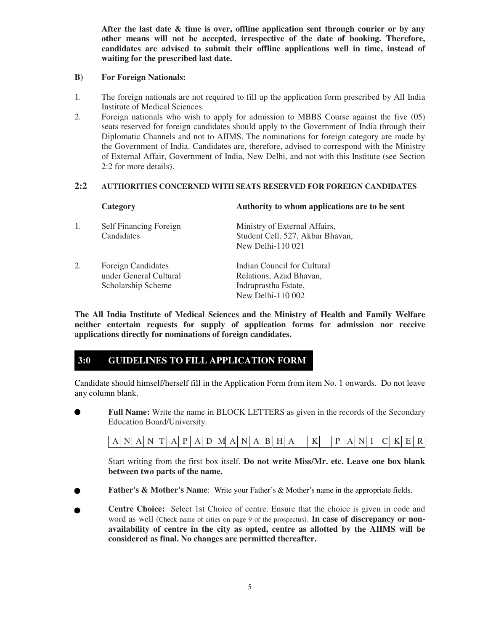**After the last date & time is over, offline application sent through courier or by any other means will not be accepted, irrespective of the date of booking. Therefore, candidates are advised to submit their offline applications well in time, instead of waiting for the prescribed last date.**

#### **B) For Foreign Nationals:**

- 1. The foreign nationals are not required to fill up the application form prescribed by All India Institute of Medical Sciences.
- 2. Foreign nationals who wish to apply for admission to MBBS Course against the five (05) seats reserved for foreign candidates should apply to the Government of India through their Diplomatic Channels and not to AIIMS. The nominations for foreign category are made by the Government of India. Candidates are, therefore, advised to correspond with the Ministry of External Affair, Government of India, New Delhi, and not with this Institute (see Section 2:2 for more details).

#### **2:2 AUTHORITIES CONCERNED WITH SEATS RESERVED FOR FOREIGN CANDIDATES**

|    | Category                                                                  | Authority to whom applications are to be sent                                                       |
|----|---------------------------------------------------------------------------|-----------------------------------------------------------------------------------------------------|
| 1. | Self Financing Foreign<br>Candidates                                      | Ministry of External Affairs,<br>Student Cell, 527, Akbar Bhavan,<br>New Delhi-110 021              |
| 2. | <b>Foreign Candidates</b><br>under General Cultural<br>Scholarship Scheme | Indian Council for Cultural<br>Relations, Azad Bhavan,<br>Indraprastha Estate,<br>New Delhi-110 002 |

**The All India Institute of Medical Sciences and the Ministry of Health and Family Welfare neither entertain requests for supply of application forms for admission nor receive applications directly for nominations of foreign candidates.**

#### **3:0 GUIDELINES TO FILL APPLICATION FORM**

Candidate should himself/herself fill in the Application Form from item No. 1 onwards. Do not leave any column blank.

 **Full Name:** Write the name in BLOCK LETTERS as given in the records of the Secondary Education Board/University.

| $K$ PANICKER<br>$A \ N A \ N$ $T$ $A$ $P$ $A$ $D$ $M$ $A$ $N$ $A$ $B$ $H$ $A$ |
|-------------------------------------------------------------------------------|
|-------------------------------------------------------------------------------|

Start writing from the first box itself. **Do not write Miss/Mr. etc. Leave one box blank between two parts of the name.**

- **Father's & Mother's Name**: Write your Father's & Mother's name in the appropriate fields.
- . **Centre Choice:** Select 1st Choice of centre. Ensure that the choice is given in code and word as well (Check name of cities on page 9 of the prospectus). **In case of discrepancy or nonavailability of centre in the city as opted, centre as allotted by the AIIMS will be considered as final. No changes are permitted thereafter.**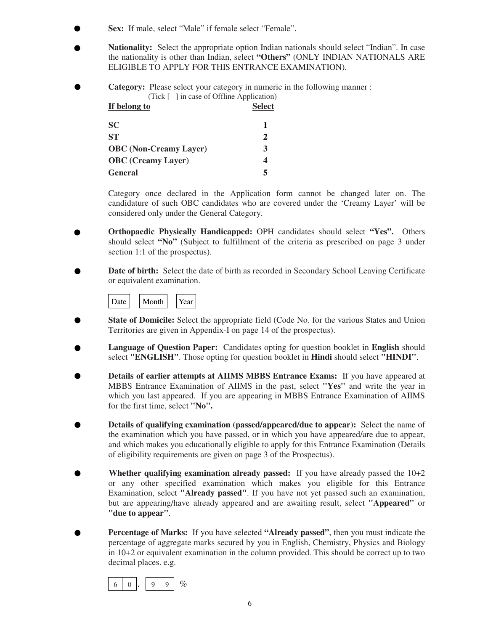- **Sex:** If male, select "Male" if female select "Female".
- **Nationality:** Select the appropriate option Indian nationals should select "Indian". In case the nationality is other than Indian, select **"Others"** (ONLY INDIAN NATIONALS ARE ELIGIBLE TO APPLY FOR THIS ENTRANCE EXAMINATION).
- **Category:** Please select your category in numeric in the following manner :

| $(Tick \mid \cdot)$ in case of Offline Application) |               |
|-----------------------------------------------------|---------------|
| If belong to                                        | <b>Select</b> |
| <b>SC</b>                                           | 1             |
| <b>ST</b>                                           | 2             |
| <b>OBC</b> (Non-Creamy Layer)                       | 3             |
| <b>OBC</b> (Creamy Layer)                           | 4             |
| <b>General</b>                                      | 5             |

Category once declared in the Application form cannot be changed later on. The candidature of such OBC candidates who are covered under the 'Creamy Layer' will be considered only under the General Category.

- **Orthopaedic Physically Handicapped:** OPH candidates should select **"Yes".** Others should select **"No"** (Subject to fulfillment of the criteria as prescribed on page 3 under section 1:1 of the prospectus).
- **Date of birth:** Select the date of birth as recorded in Secondary School Leaving Certificate or equivalent examination.



- **State of Domicile:** Select the appropriate field (Code No. for the various States and Union Territories are given in Appendix-I on page 14 of the prospectus).
- **Language of Question Paper:** Candidates opting for question booklet in **English** should select **"ENGLISH"**. Those opting for question booklet in **Hindi** should select **"HINDI"**.
- **Details of earlier attempts at AIIMS MBBS Entrance Exams:** If you have appeared at MBBS Entrance Examination of AIIMS in the past, select **"Yes"** and write the year in which you last appeared. If you are appearing in MBBS Entrance Examination of AIIMS for the first time, select **"No".**
- **Details of qualifying examination (passed/appeared/due to appear):** Select the name of the examination which you have passed, or in which you have appeared/are due to appear, and which makes you educationally eligible to apply for this Entrance Examination (Details of eligibility requirements are given on page 3 of the Prospectus).
- **Whether qualifying examination already passed:** If you have already passed the 10+2 or any other specified examination which makes you eligible for this Entrance Examination, select **"Already passed"**. If you have not yet passed such an examination, but are appearing/have already appeared and are awaiting result, select **"Appeared"** or **"due to appear"**.
- **Percentage of Marks:** If you have selected **"Already passed"**, then you must indicate the percentage of aggregate marks secured by you in English, Chemistry, Physics and Biology in 10+2 or equivalent examination in the column provided. This should be correct up to two decimal places. e.g.

 . % 6 0 9 9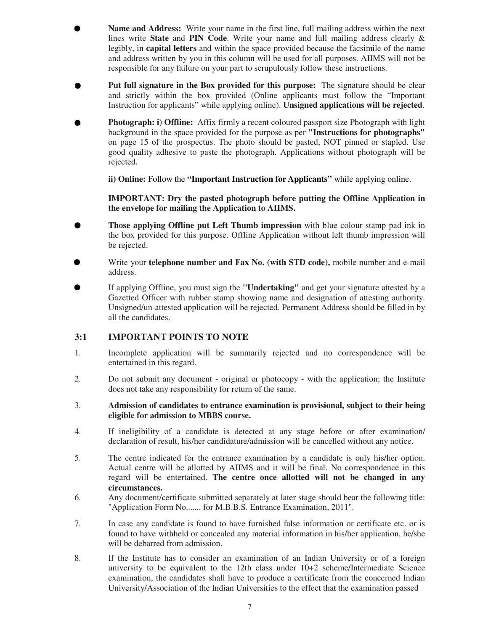- **Name and Address:** Write your name in the first line, full mailing address within the next lines write **State** and **PIN Code**. Write your name and full mailing address clearly & legibly, in **capital letters** and within the space provided because the facsimile of the name and address written by you in this column will be used for all purposes. AIIMS will not be responsible for any failure on your part to scrupulously follow these instructions.
- **Put full signature in the Box provided for this purpose:** The signature should be clear and strictly within the box provided (Online applicants must follow the "Important Instruction for applicants" while applying online). **Unsigned applications will be rejected**.
- **Photograph: i) Offline:** Affix firmly a recent coloured passport size Photograph with light background in the space provided for the purpose as per **"Instructions for photographs"** on page 15 of the prospectus. The photo should be pasted, NOT pinned or stapled. Use good quality adhesive to paste the photograph. Applications without photograph will be rejected.

 **ii) Online:** Follow the **"Important Instruction for Applicants"** while applying online.

**IMPORTANT: Dry the pasted photograph before putting the Offline Application in the envelope for mailing the Application to AIIMS.**

- **Those applying Offline put Left Thumb impression** with blue colour stamp pad ink in the box provided for this purpose. Offline Application without left thumb impression will be rejected.
- Write your **telephone number and Fax No. (with STD code),** mobile number and e-mail address.
- If applying Offline, you must sign the **"Undertaking"** and get your signature attested by a Gazetted Officer with rubber stamp showing name and designation of attesting authority. Unsigned/un-attested application will be rejected. Permanent Address should be filled in by all the candidates.

#### **3:1 IMPORTANT POINTS TO NOTE**

- 1. Incomplete application will be summarily rejected and no correspondence will be entertained in this regard.
- 2. Do not submit any document original or photocopy with the application; the Institute does not take any responsibility for return of the same.
- 3. **Admission of candidates to entrance examination is provisional, subject to their being eligible for admission to MBBS course.**
- 4. If ineligibility of a candidate is detected at any stage before or after examination/ declaration of result, his/her candidature/admission will be cancelled without any notice.
- 5. The centre indicated for the entrance examination by a candidate is only his/her option. Actual centre will be allotted by AIIMS and it will be final. No correspondence in this regard will be entertained. **The centre once allotted will not be changed in any circumstances.**
- 6. Any document/certificate submitted separately at later stage should bear the following title: "Application Form No....... for M.B.B.S. Entrance Examination, 2011".
- 7. In case any candidate is found to have furnished false information or certificate etc. or is found to have withheld or concealed any material information in his/her application, he/she will be debarred from admission.
- 8. If the Institute has to consider an examination of an Indian University or of a foreign university to be equivalent to the 12th class under 10+2 scheme/Intermediate Science examination, the candidates shall have to produce a certificate from the concerned Indian University/Association of the Indian Universities to the effect that the examination passed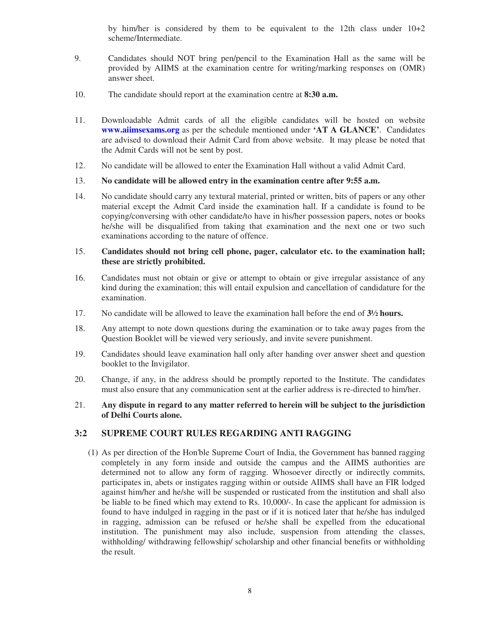by him/her is considered by them to be equivalent to the 12th class under 10+2 scheme/Intermediate.

- 9. Candidates should NOT bring pen/pencil to the Examination Hall as the same will be provided by AIIMS at the examination centre for writing/marking responses on (OMR) answer sheet.
- 10. The candidate should report at the examination centre at **8:30 a.m.**
- 11. Downloadable Admit cards of all the eligible candidates will be hosted on website **www.aiimsexams.org** as per the schedule mentioned under **'AT A GLANCE'**. Candidates are advised to download their Admit Card from above website. It may please be noted that the Admit Cards will not be sent by post.
- 12. No candidate will be allowed to enter the Examination Hall without a valid Admit Card.

#### 13. **No candidate will be allowed entry in the examination centre after 9:55 a.m.**

14. No candidate should carry any textural material, printed or written, bits of papers or any other material except the Admit Card inside the examination hall. If a candidate is found to be copying/conversing with other candidate/to have in his/her possession papers, notes or books he/she will be disqualified from taking that examination and the next one or two such examinations according to the nature of offence.

#### 15. **Candidates should not bring cell phone, pager, calculator etc. to the examination hall; these are strictly prohibited.**

- 16. Candidates must not obtain or give or attempt to obtain or give irregular assistance of any kind during the examination; this will entail expulsion and cancellation of candidature for the examination.
- 17. No candidate will be allowed to leave the examination hall before the end of **3½ hours.**
- 18. Any attempt to note down questions during the examination or to take away pages from the Question Booklet will be viewed very seriously, and invite severe punishment.
- 19. Candidates should leave examination hall only after handing over answer sheet and question booklet to the Invigilator.
- 20. Change, if any, in the address should be promptly reported to the Institute. The candidates must also ensure that any communication sent at the earlier address is re-directed to him/her.

#### 21. **Any dispute in regard to any matter referred to herein will be subject to the jurisdiction of Delhi Courts alone.**

#### **3:2 SUPREME COURT RULES REGARDING ANTI RAGGING**

(1) As per direction of the Hon'ble Supreme Court of India, the Government has banned ragging completely in any form inside and outside the campus and the AIIMS authorities are determined not to allow any form of ragging. Whosoever directly or indirectly commits, participates in, abets or instigates ragging within or outside AIIMS shall have an FIR lodged against him/her and he/she will be suspended or rusticated from the institution and shall also be liable to be fined which may extend to Rs. 10,000/-. In case the applicant for admission is found to have indulged in ragging in the past or if it is noticed later that he/she has indulged in ragging, admission can be refused or he/she shall be expelled from the educational institution. The punishment may also include, suspension from attending the classes, withholding/ withdrawing fellowship/ scholarship and other financial benefits or withholding the result.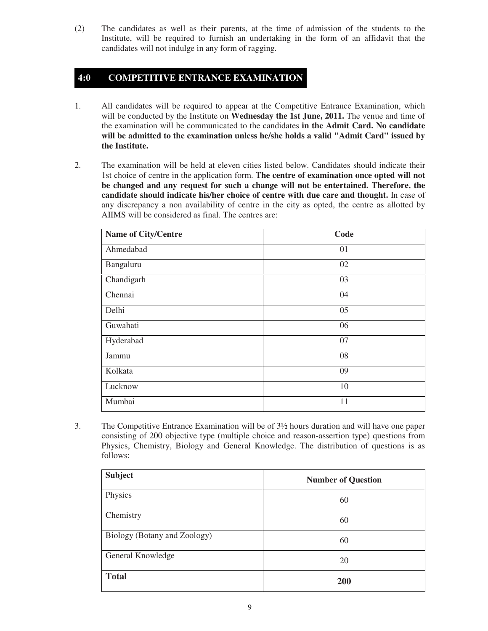(2) The candidates as well as their parents, at the time of admission of the students to the Institute, will be required to furnish an undertaking in the form of an affidavit that the candidates will not indulge in any form of ragging.

#### **4:0 COMPETITIVE ENTRANCE EXAMINATION**

- 1. All candidates will be required to appear at the Competitive Entrance Examination, which will be conducted by the Institute on **Wednesday the 1st June, 2011.** The venue and time of the examination will be communicated to the candidates **in the Admit Card. No candidate will be admitted to the examination unless he/she holds a valid "Admit Card" issued by the Institute.**
- 2. The examination will be held at eleven cities listed below. Candidates should indicate their 1st choice of centre in the application form. **The centre of examination once opted will not be changed and any request for such a change will not be entertained. Therefore, the candidate should indicate his/her choice of centre with due care and thought.** In case of any discrepancy a non availability of centre in the city as opted, the centre as allotted by AIIMS will be considered as final. The centres are:

| Name of City/Centre | Code |
|---------------------|------|
| Ahmedabad           | 01   |
| Bangaluru           | 02   |
| Chandigarh          | 03   |
| Chennai             | 04   |
| Delhi               | 05   |
| Guwahati            | 06   |
| Hyderabad           | 07   |
| Jammu               | 08   |
| Kolkata             | 09   |
| Lucknow             | 10   |
| Mumbai              | 11   |

3. The Competitive Entrance Examination will be of 3½ hours duration and will have one paper consisting of 200 objective type (multiple choice and reason-assertion type) questions from Physics, Chemistry, Biology and General Knowledge. The distribution of questions is as follows:

| <b>Subject</b>               | <b>Number of Question</b> |
|------------------------------|---------------------------|
| Physics                      | 60                        |
| Chemistry                    | 60                        |
| Biology (Botany and Zoology) | 60                        |
| General Knowledge            | 20                        |
| <b>Total</b>                 | 200                       |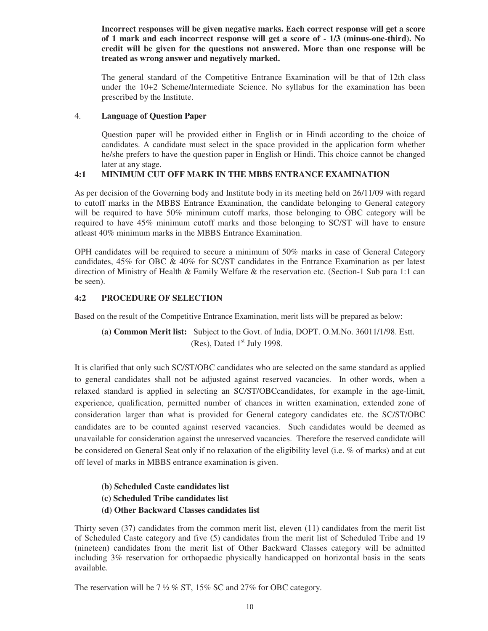**Incorrect responses will be given negative marks. Each correct response will get a score of 1 mark and each incorrect response will get a score of - 1/3 (minus-one-third). No credit will be given for the questions not answered. More than one response will be treated as wrong answer and negatively marked.**

The general standard of the Competitive Entrance Examination will be that of 12th class under the 10+2 Scheme/Intermediate Science. No syllabus for the examination has been prescribed by the Institute.

#### 4. **Language of Question Paper**

Question paper will be provided either in English or in Hindi according to the choice of candidates. A candidate must select in the space provided in the application form whether he/she prefers to have the question paper in English or Hindi. This choice cannot be changed later at any stage.

#### **4:1 MINIMUM CUT OFF MARK IN THE MBBS ENTRANCE EXAMINATION**

As per decision of the Governing body and Institute body in its meeting held on 26/11/09 with regard to cutoff marks in the MBBS Entrance Examination, the candidate belonging to General category will be required to have 50% minimum cutoff marks, those belonging to OBC category will be required to have 45% minimum cutoff marks and those belonging to SC/ST will have to ensure atleast 40% minimum marks in the MBBS Entrance Examination.

OPH candidates will be required to secure a minimum of 50% marks in case of General Category candidates, 45% for OBC & 40% for SC/ST candidates in the Entrance Examination as per latest direction of Ministry of Health & Family Welfare & the reservation etc. (Section-1 Sub para 1:1 can be seen).

#### **4:2 PROCEDURE OF SELECTION**

Based on the result of the Competitive Entrance Examination, merit lists will be prepared as below:

 **(a) Common Merit list:** Subject to the Govt. of India, DOPT. O.M.No. 36011/1/98. Estt. (Res), Dated  $1<sup>st</sup>$  July 1998.

It is clarified that only such SC/ST/OBC candidates who are selected on the same standard as applied to general candidates shall not be adjusted against reserved vacancies. In other words, when a relaxed standard is applied in selecting an SC/ST/OBCcandidates, for example in the age-limit, experience, qualification, permitted number of chances in written examination, extended zone of consideration larger than what is provided for General category candidates etc. the SC/ST/OBC candidates are to be counted against reserved vacancies. Such candidates would be deemed as unavailable for consideration against the unreserved vacancies. Therefore the reserved candidate will be considered on General Seat only if no relaxation of the eligibility level (i.e. % of marks) and at cut off level of marks in MBBS entrance examination is given.

- **(b) Scheduled Caste candidates list**
- **(c) Scheduled Tribe candidates list**
- **(d) Other Backward Classes candidates list**

Thirty seven (37) candidates from the common merit list, eleven (11) candidates from the merit list of Scheduled Caste category and five (5) candidates from the merit list of Scheduled Tribe and 19 (nineteen) candidates from the merit list of Other Backward Classes category will be admitted including 3% reservation for orthopaedic physically handicapped on horizontal basis in the seats available.

The reservation will be  $7\frac{1}{2}$  % ST, 15% SC and 27% for OBC category.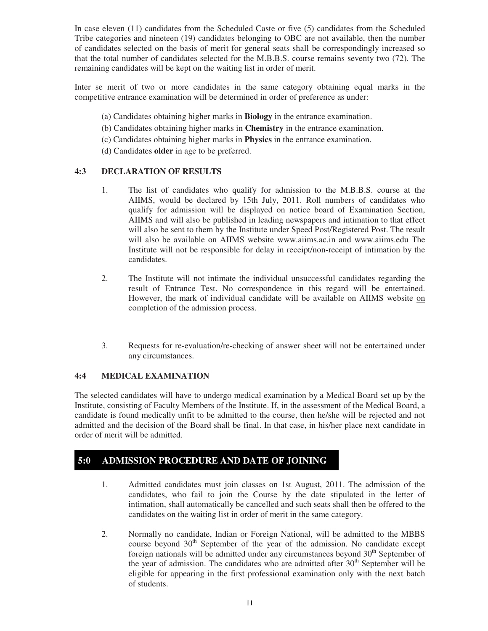In case eleven (11) candidates from the Scheduled Caste or five (5) candidates from the Scheduled Tribe categories and nineteen (19) candidates belonging to OBC are not available, then the number of candidates selected on the basis of merit for general seats shall be correspondingly increased so that the total number of candidates selected for the M.B.B.S. course remains seventy two (72). The remaining candidates will be kept on the waiting list in order of merit.

Inter se merit of two or more candidates in the same category obtaining equal marks in the competitive entrance examination will be determined in order of preference as under:

- (a) Candidates obtaining higher marks in **Biology** in the entrance examination.
- (b) Candidates obtaining higher marks in **Chemistry** in the entrance examination.
- (c) Candidates obtaining higher marks in **Physics** in the entrance examination.
- (d) Candidates **older** in age to be preferred.

#### **4:3 DECLARATION OF RESULTS**

- 1. The list of candidates who qualify for admission to the M.B.B.S. course at the AIIMS, would be declared by 15th July, 2011. Roll numbers of candidates who qualify for admission will be displayed on notice board of Examination Section, AIIMS and will also be published in leading newspapers and intimation to that effect will also be sent to them by the Institute under Speed Post/Registered Post. The result will also be available on AIIMS website www.aiims.ac.in and www.aiims.edu The Institute will not be responsible for delay in receipt/non-receipt of intimation by the candidates.
- 2. The Institute will not intimate the individual unsuccessful candidates regarding the result of Entrance Test. No correspondence in this regard will be entertained. However, the mark of individual candidate will be available on AIIMS website on completion of the admission process.
- 3. Requests for re-evaluation/re-checking of answer sheet will not be entertained under any circumstances.

#### **4:4 MEDICAL EXAMINATION**

The selected candidates will have to undergo medical examination by a Medical Board set up by the Institute, consisting of Faculty Members of the Institute. If, in the assessment of the Medical Board, a candidate is found medically unfit to be admitted to the course, then he/she will be rejected and not admitted and the decision of the Board shall be final. In that case, in his/her place next candidate in order of merit will be admitted.

#### **5:0 ADMISSION PROCEDURE AND DATE OF JOINING**

- 1. Admitted candidates must join classes on 1st August, 2011. The admission of the candidates, who fail to join the Course by the date stipulated in the letter of intimation, shall automatically be cancelled and such seats shall then be offered to the candidates on the waiting list in order of merit in the same category.
- 2. Normally no candidate, Indian or Foreign National, will be admitted to the MBBS course beyond  $30<sup>th</sup>$  September of the year of the admission. No candidate except foreign nationals will be admitted under any circumstances beyond  $30<sup>th</sup>$  September of the year of admission. The candidates who are admitted after  $30<sup>th</sup>$  September will be eligible for appearing in the first professional examination only with the next batch of students.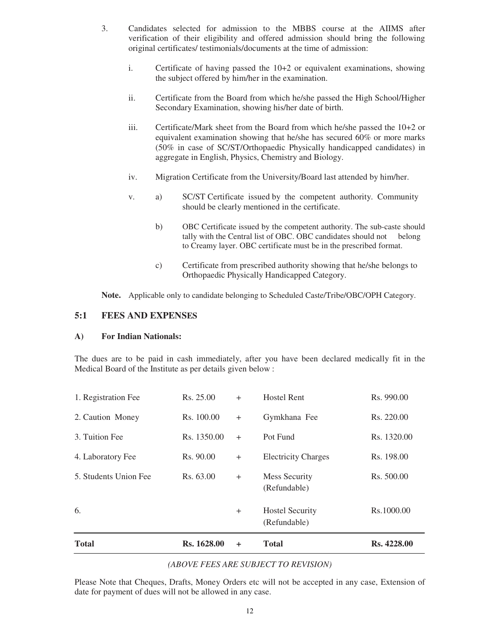- 3. Candidates selected for admission to the MBBS course at the AIIMS after verification of their eligibility and offered admission should bring the following original certificates/ testimonials/documents at the time of admission:
	- i. Certificate of having passed the 10+2 or equivalent examinations, showing the subject offered by him/her in the examination.
	- ii. Certificate from the Board from which he/she passed the High School/Higher Secondary Examination, showing his/her date of birth.
	- iii. Certificate/Mark sheet from the Board from which he/she passed the 10+2 or equivalent examination showing that he/she has secured 60% or more marks (50% in case of SC/ST/Orthopaedic Physically handicapped candidates) in aggregate in English, Physics, Chemistry and Biology.
	- iv. Migration Certificate from the University/Board last attended by him/her.
	- v. a) SC/ST Certificate issued by the competent authority. Community should be clearly mentioned in the certificate.
		- b) OBC Certificate issued by the competent authority. The sub-caste should tally with the Central list of OBC. OBC candidates should not belong to Creamy layer. OBC certificate must be in the prescribed format.
		- c) Certificate from prescribed authority showing that he/she belongs to Orthopaedic Physically Handicapped Category.

 **Note.** Applicable only to candidate belonging to Scheduled Caste/Tribe/OBC/OPH Category.

#### **5:1 FEES AND EXPENSES**

#### **A) For Indian Nationals:**

The dues are to be paid in cash immediately, after you have been declared medically fit in the Medical Board of the Institute as per details given below :

| <b>Total</b>          | Rs. 1628.00 | $\ddot{}$ | <b>Total</b>                           | Rs. 4228.00 |
|-----------------------|-------------|-----------|----------------------------------------|-------------|
| 6.                    |             | $^{+}$    | <b>Hostel Security</b><br>(Refundable) | Rs.1000.00  |
| 5. Students Union Fee | Rs. 63.00   | $+$       | Mess Security<br>(Refundable)          | Rs. 500.00  |
| 4. Laboratory Fee     | Rs. 90.00   | $+$       | <b>Electricity Charges</b>             | Rs. 198.00  |
| 3. Tuition Fee        | Rs. 1350.00 | $^{+}$    | Pot Fund                               | Rs. 1320.00 |
| 2. Caution Money      | Rs. 100.00  | $+$       | Gymkhana Fee                           | Rs. 220.00  |
| 1. Registration Fee   | Rs. 25.00   | $+$       | <b>Hostel Rent</b>                     | Rs. 990.00  |

#### *(ABOVE FEES ARE SUBJECT TO REVISION)*

Please Note that Cheques, Drafts, Money Orders etc will not be accepted in any case, Extension of date for payment of dues will not be allowed in any case.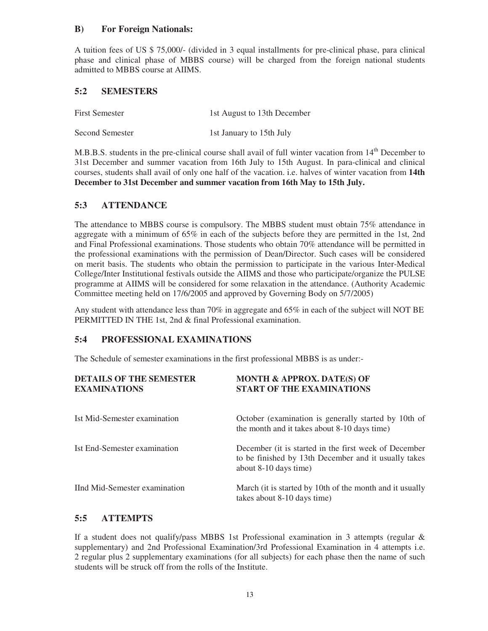#### **B) For Foreign Nationals:**

A tuition fees of US \$ 75,000/- (divided in 3 equal installments for pre-clinical phase, para clinical phase and clinical phase of MBBS course) will be charged from the foreign national students admitted to MBBS course at AIIMS.

#### **5:2 SEMESTERS**

| <b>First Semester</b> | 1st August to 13th December |
|-----------------------|-----------------------------|
| Second Semester       | 1st January to 15th July    |

M.B.B.S. students in the pre-clinical course shall avail of full winter vacation from 14<sup>th</sup> December to 31st December and summer vacation from 16th July to 15th August. In para-clinical and clinical courses, students shall avail of only one half of the vacation. i.e. halves of winter vacation from **14th December to 31st December and summer vacation from 16th May to 15th July.**

#### **5:3 ATTENDANCE**

The attendance to MBBS course is compulsory. The MBBS student must obtain 75% attendance in aggregate with a minimum of 65% in each of the subjects before they are permitted in the 1st, 2nd and Final Professional examinations. Those students who obtain 70% attendance will be permitted in the professional examinations with the permission of Dean/Director. Such cases will be considered on merit basis. The students who obtain the permission to participate in the various Inter-Medical College/Inter Institutional festivals outside the AIIMS and those who participate/organize the PULSE programme at AIIMS will be considered for some relaxation in the attendance. (Authority Academic Committee meeting held on 17/6/2005 and approved by Governing Body on 5/7/2005)

Any student with attendance less than 70% in aggregate and 65% in each of the subject will NOT BE PERMITTED IN THE 1st, 2nd & final Professional examination.

#### **5:4 PROFESSIONAL EXAMINATIONS**

The Schedule of semester examinations in the first professional MBBS is as under:-

| <b>DETAILS OF THE SEMESTER</b><br><b>EXAMINATIONS</b> | <b>MONTH &amp; APPROX. DATE(S) OF</b><br><b>START OF THE EXAMINATIONS</b>                                                              |
|-------------------------------------------------------|----------------------------------------------------------------------------------------------------------------------------------------|
| Ist Mid-Semester examination                          | October (examination is generally started by 10th of<br>the month and it takes about 8-10 days time)                                   |
| Ist End-Semester examination                          | December (it is started in the first week of December<br>to be finished by 13th December and it usually takes<br>about 8-10 days time) |
| IInd Mid-Semester examination                         | March (it is started by 10th of the month and it usually<br>takes about 8-10 days time)                                                |

#### **5:5 ATTEMPTS**

If a student does not qualify/pass MBBS 1st Professional examination in 3 attempts (regular  $\&$ supplementary) and 2nd Professional Examination/3rd Professional Examination in 4 attempts i.e. 2 regular plus 2 supplementary examinations (for all subjects) for each phase then the name of such students will be struck off from the rolls of the Institute.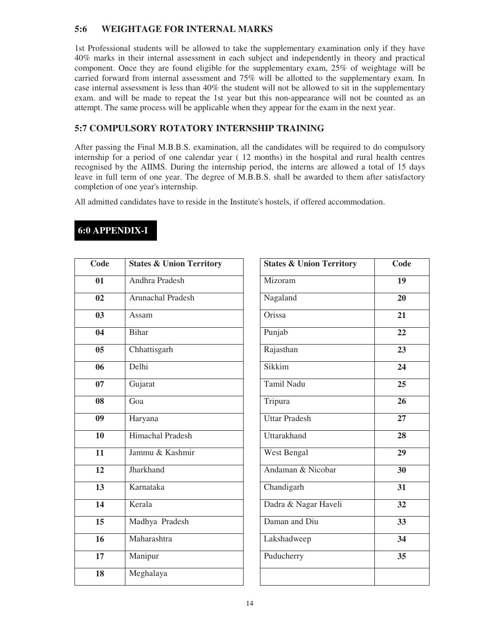#### **5:6 WEIGHTAGE FOR INTERNAL MARKS**

1st Professional students will be allowed to take the supplementary examination only if they have 40% marks in their internal assessment in each subject and independently in theory and practical component. Once they are found eligible for the supplementary exam, 25% of weightage will be carried forward from internal assessment and 75% will be allotted to the supplementary exam. In case internal assessment is less than 40% the student will not be allowed to sit in the supplementary exam. and will be made to repeat the 1st year but this non-appearance will not be counted as an attempt. The same process will be applicable when they appear for the exam in the next year.

#### **5:7 COMPULSORY ROTATORY INTERNSHIP TRAINING**

After passing the Final M.B.B.S. examination, all the candidates will be required to do compulsory internship for a period of one calendar year ( 12 months) in the hospital and rural health centres recognised by the AIIMS. During the internship period, the interns are allowed a total of 15 days leave in full term of one year. The degree of M.B.B.S. shall be awarded to them after satisfactory completion of one year's internship.

All admitted candidates have to reside in the Institute's hostels, if offered accommodation.

| Code           | <b>States &amp; Union Territory</b> |  |
|----------------|-------------------------------------|--|
| 01             | Andhra Pradesh                      |  |
| 02             | Arunachal Pradesh                   |  |
| 03             | Assam                               |  |
| 04             | <b>Bihar</b>                        |  |
| 0 <sub>5</sub> | Chhattisgarh                        |  |
| 06             | Delhi                               |  |
| 07             | Gujarat                             |  |
| 08             | Goa                                 |  |
| 09             | Haryana                             |  |
| 10             | Himachal Pradesh                    |  |
| 11             | Jammu & Kashmir                     |  |
| 12             | Jharkhand                           |  |
| 13             | Karnataka                           |  |
| 14             | Kerala                              |  |
| 15             | Madhya Pradesh                      |  |
| 16             | Maharashtra                         |  |
| 17             | Manipur                             |  |
| 18             | Meghalaya                           |  |

| Code           | <b>States &amp; Union Territory</b> | <b>States &amp; Union Territory</b> | Code |
|----------------|-------------------------------------|-------------------------------------|------|
| 01             | Andhra Pradesh                      | Mizoram                             | 19   |
| 02             | Arunachal Pradesh                   | Nagaland                            | 20   |
| 03             | Assam                               | Orissa                              | 21   |
| 04             | <b>Bihar</b>                        | Punjab                              | 22   |
| 0 <sub>5</sub> | Chhattisgarh                        | Rajasthan                           | 23   |
| 06             | Delhi                               | Sikkim                              | 24   |
| 07             | Gujarat                             | Tamil Nadu                          | 25   |
| 08             | Goa                                 | Tripura                             | 26   |
| 09             | Haryana                             | <b>Uttar Pradesh</b>                | 27   |
| 10             | Himachal Pradesh                    | Uttarakhand                         | 28   |
| 11             | Jammu & Kashmir                     | West Bengal                         | 29   |
| 12             | Jharkhand                           | Andaman & Nicobar                   | 30   |
| 13             | Karnataka                           | Chandigarh                          | 31   |
| 14             | Kerala                              | Dadra & Nagar Haveli                | 32   |
| 15             | Madhya Pradesh                      | Daman and Diu                       | 33   |
| 16             | Maharashtra                         | Lakshadweep                         | 34   |
| 17             | Manipur                             | Puducherry                          | 35   |
| 18             | Meghalaya                           |                                     |      |

#### **6:0 APPENDIX-I**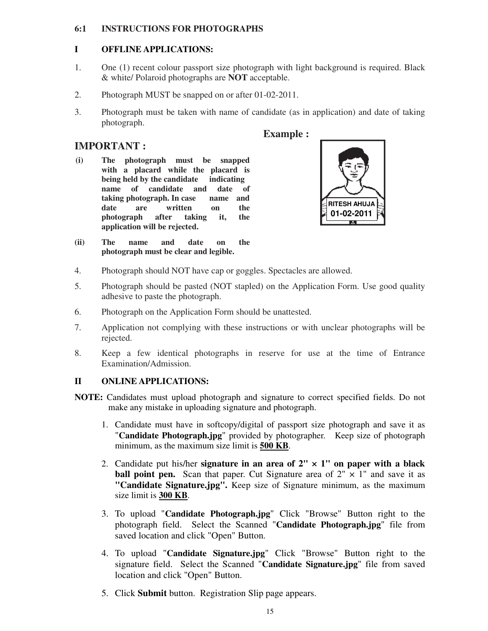#### **6:1 INSTRUCTIONS FOR PHOTOGRAPHS**

#### **I OFFLINE APPLICATIONS:**

- 1. One (1) recent colour passport size photograph with light background is required. Black & white/ Polaroid photographs are **NOT** acceptable.
- 2. Photograph MUST be snapped on or after 01-02-2011.
- 3. Photograph must be taken with name of candidate (as in application) and date of taking photograph.

 **Example :** 

#### **IMPORTANT :**

- **(i) The photograph must be snapped with a placard while the placard is being held by the candidate indicating name of candidate and date of taking photograph. In case name and date are written on the photograph after taking it, the application will be rejected.**
- **(ii) The name and date on the photograph must be clear and legible.**
- 4. Photograph should NOT have cap or goggles. Spectacles are allowed.
- 5. Photograph should be pasted (NOT stapled) on the Application Form. Use good quality adhesive to paste the photograph.
- 6. Photograph on the Application Form should be unattested.
- 7. Application not complying with these instructions or with unclear photographs will be rejected.
- 8. Keep a few identical photographs in reserve for use at the time of Entrance Examination/Admission.

#### **II ONLINE APPLICATIONS:**

- **NOTE:** Candidates must upload photograph and signature to correct specified fields. Do not make any mistake in uploading signature and photograph.
	- 1. Candidate must have in softcopy/digital of passport size photograph and save it as "**Candidate Photograph.jpg**" provided by photographer. Keep size of photograph minimum, as the maximum size limit is **500 KB**.
	- 2. Candidate put his/her **signature in an area of 2"**  $\times$  1" on paper with a black **ball point pen.** Scan that paper. Cut Signature area of  $2'' \times 1''$  and save it as **"Candidate Signature.jpg".** Keep size of Signature minimum, as the maximum size limit is **300 KB**.
	- 3. To upload "**Candidate Photograph.jpg**" Click "Browse" Button right to the photograph field. Select the Scanned "**Candidate Photograph.jpg**" file from saved location and click "Open" Button.
	- 4. To upload "**Candidate Signature.jpg**" Click "Browse" Button right to the signature field. Select the Scanned "**Candidate Signature.jpg**" file from saved location and click "Open" Button.
	- 5. Click **Submit** button. Registration Slip page appears.

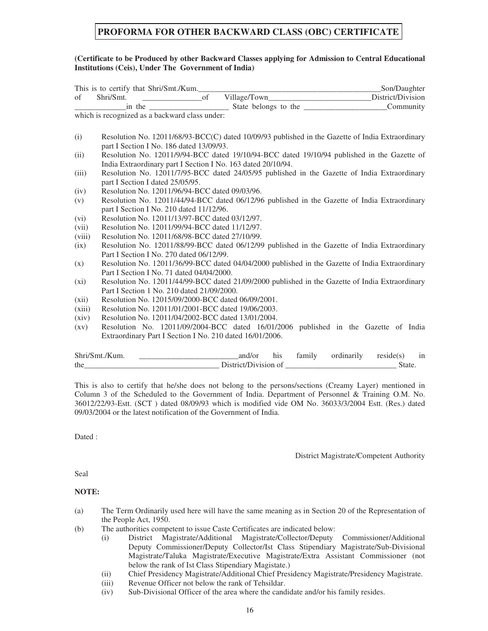#### **PROFORMA FOR OTHER BACKWARD CLASS (OBC) CERTIFICATE**

#### **(Certificate to be Produced by other Backward Classes applying for Admission to Central Educational Institutions (Ceis), Under The Government of India)**

|                    | This is to certify that Shri/Smt./Kum.                                                           |  |  |  | Son/Daughter                                                                                    |  |  |  |
|--------------------|--------------------------------------------------------------------------------------------------|--|--|--|-------------------------------------------------------------------------------------------------|--|--|--|
| $\sigma$ of        |                                                                                                  |  |  |  | Shri/Smt. ______________________of Village/Town_____________________________District/Division   |  |  |  |
|                    |                                                                                                  |  |  |  | Community                                                                                       |  |  |  |
|                    | which is recognized as a backward class under:                                                   |  |  |  |                                                                                                 |  |  |  |
|                    |                                                                                                  |  |  |  |                                                                                                 |  |  |  |
| (i)                | Resolution No. 12011/68/93-BCC(C) dated 10/09/93 published in the Gazette of India Extraordinary |  |  |  |                                                                                                 |  |  |  |
|                    | part I Section I No. 186 dated 13/09/93.                                                         |  |  |  |                                                                                                 |  |  |  |
| (ii)               | Resolution No. 12011/9/94-BCC dated 19/10/94-BCC dated 19/10/94 published in the Gazette of      |  |  |  |                                                                                                 |  |  |  |
|                    | India Extraordinary part I Section I No. 163 dated 20/10/94.                                     |  |  |  |                                                                                                 |  |  |  |
| (iii)              |                                                                                                  |  |  |  | Resolution No. 12011/7/95-BCC dated 24/05/95 published in the Gazette of India Extraordinary    |  |  |  |
|                    | part I Section I dated 25/05/95.                                                                 |  |  |  |                                                                                                 |  |  |  |
| (iv)               | Resolution No. 12011/96/94-BCC dated 09/03/96.                                                   |  |  |  |                                                                                                 |  |  |  |
| (v)                | Resolution No. 12011/44/94-BCC dated 06/12/96 published in the Gazette of India Extraordinary    |  |  |  |                                                                                                 |  |  |  |
|                    | part I Section I No. 210 dated 11/12/96.                                                         |  |  |  |                                                                                                 |  |  |  |
| (vi)               | Resolution No. 12011/13/97-BCC dated 03/12/97.                                                   |  |  |  |                                                                                                 |  |  |  |
| (vii)              | Resolution No. 12011/99/94-BCC dated 11/12/97.                                                   |  |  |  |                                                                                                 |  |  |  |
| (viii)             | Resolution No. 12011/68/98-BCC dated 27/10/99.                                                   |  |  |  |                                                                                                 |  |  |  |
| (ix)               | Resolution No. 12011/88/99-BCC dated 06/12/99 published in the Gazette of India Extraordinary    |  |  |  |                                                                                                 |  |  |  |
|                    | Part I Section I No. 270 dated 06/12/99.                                                         |  |  |  |                                                                                                 |  |  |  |
| (x)                |                                                                                                  |  |  |  | Resolution No. 12011/36/99-BCC dated 04/04/2000 published in the Gazette of India Extraordinary |  |  |  |
|                    | Part I Section I No. 71 dated 04/04/2000.                                                        |  |  |  |                                                                                                 |  |  |  |
| $(x_i)$            | Resolution No. 12011/44/99-BCC dated 21/09/2000 published in the Gazette of India Extraordinary  |  |  |  |                                                                                                 |  |  |  |
|                    | Part I Section 1 No. 210 dated 21/09/2000.                                                       |  |  |  |                                                                                                 |  |  |  |
| (xii)              | Resolution No. 12015/09/2000-BCC dated 06/09/2001.                                               |  |  |  |                                                                                                 |  |  |  |
| (xiii)             | Resolution No. 12011/01/2001-BCC dated 19/06/2003.                                               |  |  |  |                                                                                                 |  |  |  |
| (xiv)              | Resolution No. 12011/04/2002-BCC dated 13/01/2004.                                               |  |  |  |                                                                                                 |  |  |  |
| $\left( xy\right)$ |                                                                                                  |  |  |  | Resolution No. 12011/09/2004-BCC dated 16/01/2006 published in the Gazette of India             |  |  |  |
|                    | Extraordinary Part I Section I No. 210 dated 16/01/2006.                                         |  |  |  |                                                                                                 |  |  |  |
|                    |                                                                                                  |  |  |  |                                                                                                 |  |  |  |
|                    | Shri/Smt/Kum                                                                                     |  |  |  | and/or his family ordinarily reside(s) in                                                       |  |  |  |

| Shri            | n v<br>v.<br>uu          | 5.10<br>шг |  | . | $- - - -$ | 11<br>ш |  |  |
|-----------------|--------------------------|------------|--|---|-----------|---------|--|--|
| the<br>________ | $\overline{\phantom{a}}$ |            |  |   |           |         |  |  |
|                 |                          |            |  |   |           |         |  |  |

This is also to certify that he/she does not belong to the persons/sections (Creamy Layer) mentioned in Column 3 of the Scheduled to the Government of India. Department of Personnel & Training O.M. No. 36012/22/93-Estt. (SCT ) dated 08/09/93 which is modified vide OM No. 36033/3/2004 Estt. (Res.) dated 09/03/2004 or the latest notification of the Government of India.

Dated :

District Magistrate/Competent Authority

Seal

#### **NOTE:**

- (a) The Term Ordinarily used here will have the same meaning as in Section 20 of the Representation of the People Act, 1950.
- (b) The authorities competent to issue Caste Certificates are indicated below:
	- (i) District Magistrate/Additional Magistrate/Collector/Deputy Commissioner/Additional Deputy Commissioner/Deputy Collector/Ist Class Stipendiary Magistrate/Sub-Divisional Magistrate/Taluka Magistrate/Executive Magistrate/Extra Assistant Commissioner (not below the rank of Ist Class Stipendiary Magistate.)
	- (ii) Chief Presidency Magistrate/Additional Chief Presidency Magistrate/Presidency Magistrate.
	- (iii) Revenue Officer not below the rank of Tehsildar.
	- (iv) Sub-Divisional Officer of the area where the candidate and/or his family resides.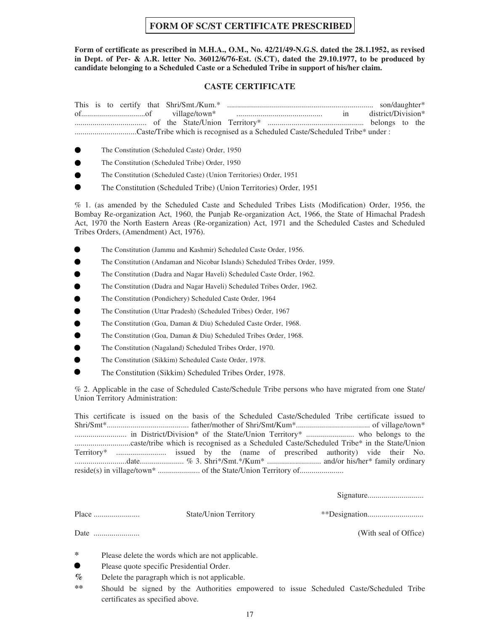#### **FORM OF SC/ST CERTIFICATE PRESCRIBED**

**Form of certificate as prescribed in M.H.A., O.M., No. 42/21/49-N.G.S. dated the 28.1.1952, as revised in Dept. of Per- & A.R. letter No. 36012/6/76-Est. (S.CT), dated the 29.10.1977, to be produced by candidate belonging to a Scheduled Caste or a Scheduled Tribe in support of his/her claim.**

#### **CASTE CERTIFICATE**

- The Constitution (Scheduled Caste) Order, 1950
- The Constitution (Scheduled Tribe) Order, 1950
- The Constitution (Scheduled Caste) (Union Territories) Order, 1951
- The Constitution (Scheduled Tribe) (Union Territories) Order, 1951

% 1. (as amended by the Scheduled Caste and Scheduled Tribes Lists (Modification) Order, 1956, the Bombay Re-organization Act, 1960, the Punjab Re-organization Act, 1966, the State of Himachal Pradesh Act, 1970 the North Eastern Areas (Re-organization) Act, 1971 and the Scheduled Castes and Scheduled Tribes Orders, (Amendment) Act, 1976).

- The Constitution (Jammu and Kashmir) Scheduled Caste Order, 1956.
- The Constitution (Andaman and Nicobar Islands) Scheduled Tribes Order, 1959.
- The Constitution (Dadra and Nagar Haveli) Scheduled Caste Order, 1962.
- The Constitution (Dadra and Nagar Haveli) Scheduled Tribes Order, 1962.
- The Constitution (Pondichery) Scheduled Caste Order, 1964
- The Constitution (Uttar Pradesh) (Scheduled Tribes) Order, 1967
- The Constitution (Goa, Daman & Diu) Scheduled Caste Order, 1968.
- The Constitution (Goa, Daman & Diu) Scheduled Tribes Order, 1968.
- The Constitution (Nagaland) Scheduled Tribes Order, 1970.
- The Constitution (Sikkim) Scheduled Caste Order, 1978.
- The Constitution (Sikkim) Scheduled Tribes Order, 1978.

% 2. Applicable in the case of Scheduled Caste/Schedule Tribe persons who have migrated from one State/ Union Territory Administration:

This certificate is issued on the basis of the Scheduled Caste/Scheduled Tribe certificate issued to Shri/Smt\*......................................... father/mother of Shri/Smt/Kum\*..................................... of village/town\* .......................... in District/Division\* of the State/Union Territory\* ........................ who belongs to the ............................caste/tribe which is recognised as a Scheduled Caste/Scheduled Tribe\* in the State/Union Territory\* ......................... issued by the (name of prescribed authority) vide their No. ..........................date...................... % 3. Shri\*/Smt.\*/Kum\* ........................... and/or his/her\* family ordinary reside(s) in village/town\* ..................... of the State/Union Territory of......................

Signature............................

Place ....................... State/Union Territory \*\*Designation............................

Date ....................... (With seal of Office)

**\*** Please delete the words which are not applicable.

Please quote specific Presidential Order.

**%** Delete the paragraph which is not applicable.

**\*\*** Should be signed by the Authorities empowered to issue Scheduled Caste/Scheduled Tribe certificates as specified above.